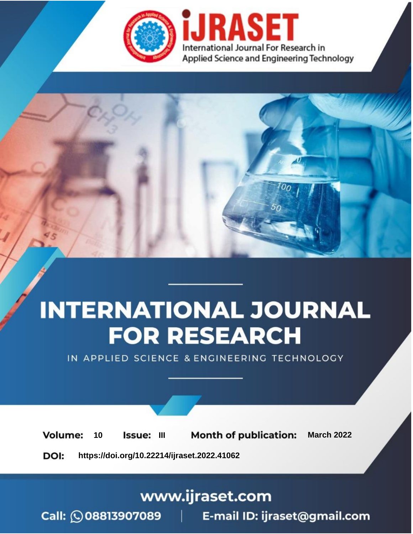

# **INTERNATIONAL JOURNAL FOR RESEARCH**

IN APPLIED SCIENCE & ENGINEERING TECHNOLOGY

**Month of publication: Volume:** 10 **Issue: III March 2022** DOI: https://doi.org/10.22214/ijraset.2022.41062

www.ijraset.com

Call: 008813907089 | E-mail ID: ijraset@gmail.com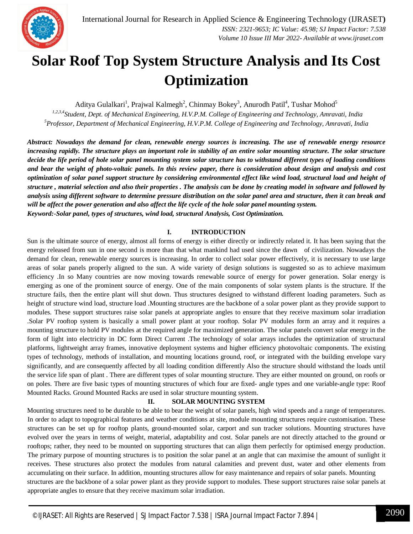

### **Solar Roof Top System Structure Analysis and Its Cost Optimization**

Aditya Gulalkari<sup>1</sup>, Prajwal Kalmegh<sup>2</sup>, Chinmay Bokey<sup>3</sup>, Anurodh Patil<sup>4</sup>, Tushar Mohod<sup>5</sup>

*1,2,3,4Student, Dept. of Mechanical Engineering, H.V.P.M. College of Engineering and Technology, Amravati, India <sup>5</sup>Professor, Department of Mechanical Engineering, H.V.P.M. College of Engineering and Technology, Amravati, India* 

*Abstract: Nowadays the demand for clean, renewable energy sources is increasing. The use of renewable energy resource increasing rapidly. The structure plays an important role in stability of an entire solar mounting structure. The solar structure decide the life period of hole solar panel mounting system solar structure has to withstand different types of loading conditions and bear the weight of photo-voltaic panels. In this review paper, there is consideration about design and analysis and cost optimization of solar panel support structure by considering environmental effect like wind load, structural load and height of structure , material selection and also their properties . The analysis can be done by creating model in software and followed by analysis using different software to determine pressure distribution on the solar panel area and structure, then it can break and will be affect the power generation and also affect the life cycle of the hole solar panel mounting system. Keyword:-Solar panel, types of structures, wind load, structural Analysis, Cost Optimization.*

#### **I. INTRODUCTION**

Sun is the ultimate source of energy, almost all forms of energy is either directly or indirectly related it. It has been saying that the energy released from sun in one second is more than that what mankind had used since the dawn of civilization. Nowadays the demand for clean, renewable energy sources is increasing. In order to collect solar power effectively, it is necessary to use large areas of solar panels properly aligned to the sun. A wide variety of design solutions is suggested so as to achieve maximum efficiency .In so Many countries are now moving towards renewable source of energy for power generation. Solar energy is emerging as one of the prominent source of energy. One of the main components of solar system plants is the structure. If the structure fails, then the entire plant will shut down. Thus structures designed to withstand different loading parameters. Such as height of structure wind load, structure load .Mounting structures are the backbone of a solar power plant as they provide support to modules. These support structures raise solar panels at appropriate angles to ensure that they receive maximum solar irradiation .Solar PV rooftop system is basically a small power plant at your rooftop. Solar PV modules form an array and it requires a mounting structure to hold PV modules at the required angle for maximized generation. The solar panels convert solar energy in the form of light into electricity in DC form Direct Current .The technology of solar arrays includes the optimization of structural platforms, lightweight array frames, innovative deployment systems and higher efficiency photovoltaic components. The existing types of technology, methods of installation, and mounting locations ground, roof, or integrated with the building envelope vary significantly, and are consequently affected by all loading condition differently Also the structure should withstand the loads until the service life span of plant . There are different types of solar mounting structure. They are either mounted on ground, on roofs or on poles. There are five basic types of mounting structures of which four are fixed- angle types and one variable-angle type: Roof Mounted Racks. Ground Mounted Racks are used in solar structure mounting system.

#### **II. SOLAR MOUNTING SYSTEM**

Mounting structures need to be durable to be able to bear the weight of solar panels, high wind speeds and a range of temperatures. In order to adapt to topographical features and weather conditions at site, module mounting structures require customisation. These structures can be set up for rooftop plants, ground-mounted solar, carport and sun tracker solutions. Mounting structures have evolved over the years in terms of weight, material, adaptability and cost. Solar panels are not directly attached to the ground or rooftops; rather, they need to be mounted on supporting structures that can align them perfectly for optimised energy production. The primary purpose of mounting structures is to position the solar panel at an angle that can maximise the amount of sunlight it receives. These structures also protect the modules from natural calamities and prevent dust, water and other elements from accumulating on their surface. In addition, mounting structures allow for easy maintenance and repairs of solar panels. Mounting structures are the backbone of a solar power plant as they provide support to modules. These support structures raise solar panels at appropriate angles to ensure that they receive maximum solar irradiation.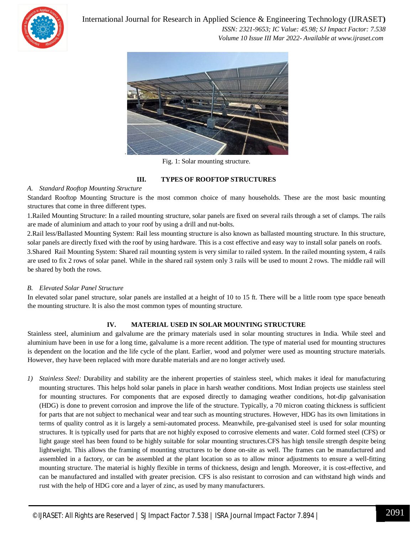

International Journal for Research in Applied Science & Engineering Technology (IJRASET**)**  *ISSN: 2321-9653; IC Value: 45.98; SJ Impact Factor: 7.538 Volume 10 Issue III Mar 2022- Available at www.ijraset.com*



Fig. 1: Solar mounting structure.

#### **III. TYPES OF ROOFTOP STRUCTURES**

#### *A. Standard Rooftop Mounting Structure*

Standard Rooftop Mounting Structure is the most common choice of many households. These are the most basic mounting structures that come in three different types.

1.Railed Mounting Structure: In a railed mounting structure, solar panels are fixed on several rails through a set of clamps. The rails are made of aluminium and attach to your roof by using a drill and nut-bolts.

2.Rail less/Ballasted Mounting System: Rail less mounting structure is also known as ballasted mounting structure. In this structure, solar panels are directly fixed with the roof by using hardware. This is a cost effective and easy way to install solar panels on roofs. 3.Shared Rail Mounting System: Shared rail mounting system is very similar to railed system. In the railed mounting system, 4 rails are used to fix 2 rows of solar panel. While in the shared rail system only 3 rails will be used to mount 2 rows. The middle rail will be shared by both the rows.

#### *B. Elevated Solar Panel Structure*

In elevated solar panel structure, solar panels are installed at a height of 10 to 15 ft. There will be a little room type space beneath the mounting structure. It is also the most common types of mounting structure.

#### **IV. MATERIAL USED IN SOLAR MOUNTING STRUCTURE**

Stainless steel, aluminium and galvalume are the primary materials used in solar mounting structures in India. While steel and aluminium have been in use for a long time, galvalume is a more recent addition. The type of material used for mounting structures is dependent on the location and the life cycle of the plant. Earlier, wood and polymer were used as mounting structure materials. However, they have been replaced with more durable materials and are no longer actively used.

*1) Stainless Steel:* Durability and stability are the inherent properties of stainless steel, which makes it ideal for manufacturing mounting structures. This helps hold solar panels in place in harsh weather conditions. Most Indian projects use stainless steel for mounting structures. For components that are exposed directly to damaging weather conditions, hot-dip galvanisation (HDG) is done to prevent corrosion and improve the life of the structure. Typically, a 70 micron coating thickness is sufficient for parts that are not subject to mechanical wear and tear such as mounting structures. However, HDG has its own limitations in terms of quality control as it is largely a semi-automated process. Meanwhile, pre-galvanised steel is used for solar mounting structures. It is typically used for parts that are not highly exposed to corrosive elements and water. Cold formed steel (CFS) or light gauge steel has been found to be highly suitable for solar mounting structures.CFS has high tensile strength despite being lightweight. This allows the framing of mounting structures to be done on-site as well. The frames can be manufactured and assembled in a factory, or can be assembled at the plant location so as to allow minor adjustments to ensure a well-fitting mounting structure. The material is highly flexible in terms of thickness, design and length. Moreover, it is cost-effective, and can be manufactured and installed with greater precision. CFS is also resistant to corrosion and can withstand high winds and rust with the help of HDG core and a layer of zinc, as used by many manufacturers.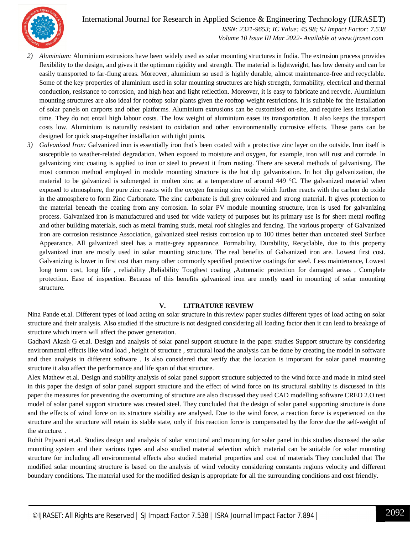International Journal for Research in Applied Science & Engineering Technology (IJRASET**)**



 *ISSN: 2321-9653; IC Value: 45.98; SJ Impact Factor: 7.538 Volume 10 Issue III Mar 2022- Available at www.ijraset.com*

- *2) Aluminium:* Aluminium extrusions have been widely used as solar mounting structures in India. The extrusion process provides flexibility to the design, and gives it the optimum rigidity and strength. The material is lightweight, has low density and can be easily transported to far-flung areas. Moreover, aluminium so used is highly durable, almost maintenance-free and recyclable. Some of the key properties of aluminium used in solar mounting structures are high strength, formability, electrical and thermal conduction, resistance to corrosion, and high heat and light reflection. Moreover, it is easy to fabricate and recycle. Aluminium mounting structures are also ideal for rooftop solar plants given the rooftop weight restrictions. It is suitable for the installation of solar panels on carports and other platforms. Aluminium extrusions can be customised on-site, and require less installation time. They do not entail high labour costs. The low weight of aluminium eases its transportation. It also keeps the transport costs low. Aluminium is naturally resistant to oxidation and other environmentally corrosive effects. These parts can be designed for quick snap-together installation with tight joints.
- 3) Galvanized Iron: Galvanized iron is essentially iron that's been coated with a protective zinc layer on the outside. Iron itself is susceptible to weather-related degradation. When exposed to moisture and oxygen, for example, iron will rust and corrode. ln galvanizing zinc coating is applied to iron or steel to prevent it from rusting. There are several methods of galvanising. The most common method employed in module mounting structure is the hot dip galvanization. In hot dip galvanization, the material to be galvanized is submerged in molten zinc at a temperature of around 449 °C. The galvanized material when exposed to atmosphere, the pure zinc reacts with the oxygen forming zinc oxide which further reacts with the carbon do oxide in the atmosphere to form Zinc Carbonate. The zinc carbonate is dull grey coloured and strong material. It gives protection to the material beneath the coating from any corrosion. In solar PV module mounting structure, iron is used for galvanizing process. Galvanized iron is manufactured and used for wide variety of purposes but its primary use is for sheet metal roofing and other building materials, such as metal framing studs, metal roof shingles and fencing. The various property of Galvanized iron are corrosion resistance Association, galvanized steel resists corrosion up to 100 times better than uncoated steel Surface Appearance. All galvanized steel has a matte-grey appearance. Formability, Durability, Recyclable, due to this property galvanized iron are mostly used in solar mounting structure. The real benefits of Galvanized iron are. Lowest first cost. Galvanizing is lower in first cost than many other commonly specified protective coatings for steel. Less maintenance, Lowest long term cost, long life , reliability ,Reliability Toughest coating ,Automatic protection for damaged areas , Complete protection. Ease of inspection. Because of this benefits galvanized iron are mostly used in mounting of solar mounting structure.

#### **V. LITRATURE REVIEW**

Nina Pande et.al. Different types of load acting on solar structure in this review paper studies different types of load acting on solar structure and their analysis. Also studied if the structure is not designed considering all loading factor then it can lead to breakage of structure which intern will affect the power generation.

Gadhavi Akash G et.al. Design and analysis of solar panel support structure in the paper studies Support structure by considering environmental effects like wind load , height of structure , structural load the analysis can be done by creating the model in software and then analysis in different software . Is also considered that verify that the location is important for solar panel mounting structure it also affect the performance and life span of that structure.

Alex Mathew et.al. Design and stability analysis of solar panel support structure subjected to the wind force and made in mind steel in this paper the design of solar panel support structure and the effect of wind force on its structural stability is discussed in this paper the measures for preventing the overturning of structure are also discussed they used CAD modelling software CREO 2.O test model of solar panel support structure was created steel. They concluded that the design of solar panel supporting structure is done and the effects of wind force on its structure stability are analysed. Due to the wind force, a reaction force is experienced on the structure and the structure will retain its stable state, only if this reaction force is compensated by the force due the self-weight of the structure. .

Rohit Pnjwani et.al. Studies design and analysis of solar structural and mounting for solar panel in this studies discussed the solar mounting system and their various types and also studied material selection which material can be suitable for solar mounting structure for including all environmental effects also studied material properties and cost of materials They concluded that The modified solar mounting structure is based on the analysis of wind velocity considering constants regions velocity and different boundary conditions. The material used for the modified design is appropriate for all the surrounding conditions and cost friendly**.**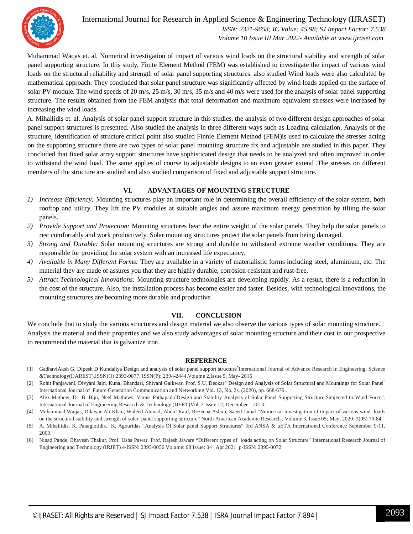

#### International Journal for Research in Applied Science & Engineering Technology (IJRASET**)**  *ISSN: 2321-9653; IC Value: 45.98; SJ Impact Factor: 7.538 Volume 10 Issue III Mar 2022- Available at www.ijraset.com*

Muhammad Waqas et. al. Numerical investigation of impact of various wind loads on the structural stability and strength of solar panel supporting structure. In this study, Finite Element Method (FEM) was established to investigate the impact of various wind loads on the structural reliability and strength of solar panel supporting structures. also studied Wind loads were also calculated by mathematical approach. They concluded that solar panel structure was significantly affected by wind loads applied on the surface of solar PV module. The wind speeds of 20 m/s, 25 m/s, 30 m/s, 35 m/s and 40 m/s were used for the analysis of solar panel supporting structure. The results obtained from the FEM analysis that total deformation and maximum equivalent stresses were increased by increasing the wind loads.

A. Mihailidis et. al. Analysis of solar panel support structure in this studies, the analysis of two different design approaches of solar panel support structures is presented. Also studied the analysis in three different ways such as Loading calculation, Analysis of the structure, identification of structure critical point also studied Finnie Element Method (FEM)is used to calculate the stresses acting on the supporting structure there are two types of solar panel mounting structure fix and adjustable are studied in this paper. They concluded that fixed solar array support structures have sophisticated design that needs to be analyzed and often improved in order to withstand the wind load. The same applies of course to adjustable designs to an even greater extend .The stresses on different members of the structure are studied and also studied comparison of fixed and adjustable support structure.

#### **VI. ADVANTAGES OF MOUNTING STRUCTURE**

- *1) Increase Efficiency:* Mounting structures play an important role in determining the overall efficiency of the solar system, both rooftop and utility. They lift the PV modules at suitable angles and assure maximum energy generation by tilting the solar panels.
- *2) Provide Support and Protection:* Mounting structures bear the entire weight of the solar panels. They help the solar panels to rest comfortably and work productively. Solar mounting structures protect the solar panels from being damaged.
- *3) Strong and Durable:* Solar mounting structures are strong and durable to withstand extreme weather conditions. They are responsible for providing the solar system with an increased life expectancy.
- *4) Available in Many Different Forms:* They are available in a variety of materialistic forms including steel, aluminium, etc. The material they are made of assures you that they are highly durable, corrosion-resistant and rust-free.
- *5) Attract Technological Innovations:* Mounting structure technologies are developing rapidly. As a result, there is a reduction in the cost of the structure. Also, the installation process has become easier and faster. Besides, with technological innovations, the mounting structures are becoming more durable and productive.

#### **VII. CONCLUSION**

We conclude that to study the various structures and design material we also observe the various types of solar mounting structure. Analysis the material and their properties and we also study advantages of solar mounting structure and their cost in our prospective to recommend the material that is galvanize iron.

#### **REFERENCE**

- [1] GadhaviAksh G, Dipesh D Kundaliya"Design and analysis of solar panel support structure**"** International Journal of Advance Research in Engineering, Science &Technology(IJAREST),ISSN(O):2393-9877, ISSN(P): 2394-2444,Volume 2,Issue 5, May- 2015
- [2] Rohit Panjawani, Divyani Jain, Kunal Bhandari, Shivani Gaikwar, Prof. S.U. Deokar" Design and Analysis of Solar Structural and Mountings for Solar Panel" International Journal of Future Generation Communication and Networking Vol. 13, No. 2s, (2020), pp. 668-679 .
- [3] Alex Mathew, Dr. B. Biju, Neel Mathews, Vamsi Pathapadu"Design and Stability Analysis of Solar Panel Supporting Structure Subjected to Wind Force". International Journal of Engineering Research & Technology (IJERT)Vol. 2 Issue 12, December – 2013.
- [4] Muhammad Waqas, Dilawar Ali Khan, Waleed Ahmad, Abdul Rauf, Rozeena Aslam, Saeed Jamal "Numerical investigation of impact of various wind loads on the structural stability and strength of solar panel supporting structure" North American Academic Research , Volume 3, Issue 05; May, 2020; 3(05) 70-84.
- [5] A. Mihailidis, K. Panagiotidis, K. Agouridas "Analysis Of Solar panel Support Structures" 3rd ANSA & μETA International Conference September 9-11, 2009.
- [6] Ninad Pande, Bhavesh Thakur, Prof. Usha Pawar, Prof. Rajesh Jaware "Different types of loads acting on Solar Structure" International Research Journal of Engineering and Technology (IRJET) e-ISSN: 2395-0056 Volume: 08 Issue: 04 | Apr 2021 p-ISSN: 2395-0072.